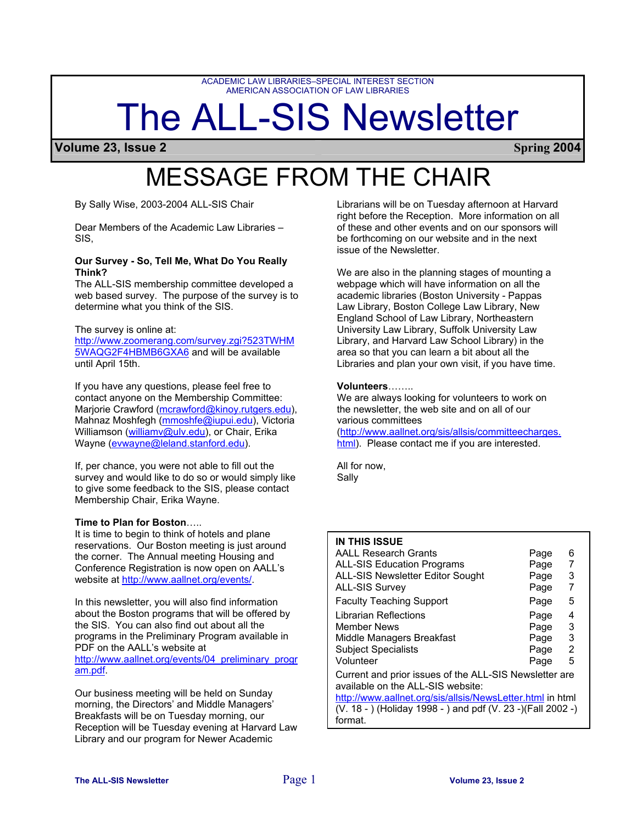ACADEMIC LAW LIBRARIES–SPECIAL INTEREST SECTION AMERICAN ASSOCIATION OF LAW LIBRARIES

# The ALL-SIS Newsletter

**Volume 23, Issue 2 Spring 2004**

# MESSAGE FROM THE CHAIR

By Sally Wise, 2003-2004 ALL-SIS Chair

Dear Members of the Academic Law Libraries – SIS,

#### **Our Survey - So, Tell Me, What Do You Really Think?**

The ALL-SIS membership committee developed a web based survey. The purpose of the survey is to determine what you think of the SIS.

#### The survey is online at:

[http://www.zoomerang.com/survey.zgi?523TWHM](http://www.zoomerang.com/survey.zgi?523TWHM5WAQG2F4HBMB6GXA6) [5WAQG2F4HBMB6GXA6](http://www.zoomerang.com/survey.zgi?523TWHM5WAQG2F4HBMB6GXA6) and will be available until April 15th.

If you have any questions, please feel free to contact anyone on the Membership Committee: Marjorie Crawford [\(mcrawford@kinoy.rutgers.edu](mailto:mcrawford@kinoy.rutgers.edu)), Mahnaz Moshfegh ([mmoshfe@iupui.edu](mailto:mmoshfe@iupui.edu)), Victoria Williamson ([williamv@ulv.edu](mailto:williamv@ulv.edu)), or Chair, Erika Wayne [\(evwayne@leland.stanford.edu](mailto:evwayne@leland.stanford.edu)).

If, per chance, you were not able to fill out the survey and would like to do so or would simply like to give some feedback to the SIS, please contact Membership Chair, Erika Wayne.

#### **Time to Plan for Boston**…..

It is time to begin to think of hotels and plane reservations. Our Boston meeting is just around the corner. The Annual meeting Housing and Conference Registration is now open on AALL's website at<http://www.aallnet.org/events/>.

In this newsletter, you will also find information about the Boston programs that will be offered by the SIS. You can also find out about all the programs in the Preliminary Program available in PDF on the AALL's website at [http://www.aallnet.org/events/04\\_preliminary\\_progr](http://www.aallnet.org/events/04_preliminary_program.pdf) [am.pdf](http://www.aallnet.org/events/04_preliminary_program.pdf).

Our business meeting will be held on Sunday morning, the Directors' and Middle Managers' Breakfasts will be on Tuesday morning, our Reception will be Tuesday evening at Harvard Law Library and our program for Newer Academic

Librarians will be on Tuesday afternoon at Harvard right before the Reception. More information on all of these and other events and on our sponsors will be forthcoming on our website and in the next issue of the Newsletter.

We are also in the planning stages of mounting a webpage which will have information on all the academic libraries (Boston University - Pappas Law Library, Boston College Law Library, New England School of Law Library, Northeastern University Law Library, Suffolk University Law Library, and Harvard Law School Library) in the area so that you can learn a bit about all the Libraries and plan your own visit, if you have time.

#### **Volunteers**……..

We are always looking for volunteers to work on the newsletter, the web site and on all of our various committees

[\(http://www.aallnet.org/sis/allsis/committeecharges.](http://www.aallnet.org/sis/allsis/committeecharges.html) [html\)](http://www.aallnet.org/sis/allsis/committeecharges.html). Please contact me if you are interested.

All for now, Sally

| <b>IN THIS ISSUE</b>                                                                        |      |   |
|---------------------------------------------------------------------------------------------|------|---|
| <b>AALL Research Grants</b>                                                                 | Page | 6 |
| <b>ALL-SIS Education Programs</b>                                                           | Page | 7 |
| ALL-SIS Newsletter Editor Sought                                                            | Page | 3 |
| <b>ALL-SIS Survey</b>                                                                       | Page |   |
| <b>Faculty Teaching Support</b>                                                             | Page | 5 |
| Librarian Reflections                                                                       | Page | 4 |
| <b>Member News</b>                                                                          | Page | 3 |
| Middle Managers Breakfast                                                                   | Page | 3 |
| <b>Subject Specialists</b>                                                                  | Page | 2 |
| Volunteer                                                                                   | Page | 5 |
| Current and prior issues of the ALL-SIS Newsletter are<br>available on the ALL-SIS website: |      |   |

<http://www.aallnet.org/sis/allsis/NewsLetter.html> in html  $\overline{(V. 18 -)}$  (Holiday 1998 - ) and pdf  $(V. 23 -)$  (Fall 2002 -) format.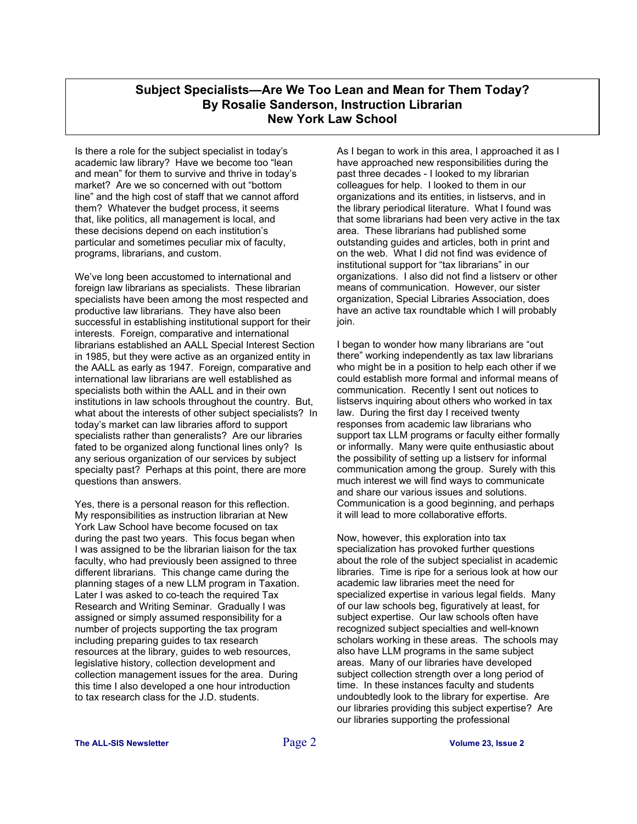## **Subject Specialists—Are We Too Lean and Mean for Them Today? By Rosalie Sanderson, Instruction Librarian New York Law School**

Is there a role for the subject specialist in today's academic law library? Have we become too "lean and mean" for them to survive and thrive in today's market? Are we so concerned with out "bottom line" and the high cost of staff that we cannot afford them? Whatever the budget process, it seems that, like politics, all management is local, and these decisions depend on each institution's particular and sometimes peculiar mix of faculty, programs, librarians, and custom.

We've long been accustomed to international and foreign law librarians as specialists. These librarian specialists have been among the most respected and productive law librarians. They have also been successful in establishing institutional support for their interests. Foreign, comparative and international librarians established an AALL Special Interest Section in 1985, but they were active as an organized entity in the AALL as early as 1947. Foreign, comparative and international law librarians are well established as specialists both within the AALL and in their own institutions in law schools throughout the country. But, what about the interests of other subject specialists? In today's market can law libraries afford to support specialists rather than generalists? Are our libraries fated to be organized along functional lines only? Is any serious organization of our services by subject specialty past? Perhaps at this point, there are more questions than answers.

Yes, there is a personal reason for this reflection. My responsibilities as instruction librarian at New York Law School have become focused on tax during the past two years. This focus began when I was assigned to be the librarian liaison for the tax faculty, who had previously been assigned to three different librarians. This change came during the planning stages of a new LLM program in Taxation. Later I was asked to co-teach the required Tax Research and Writing Seminar. Gradually I was assigned or simply assumed responsibility for a number of projects supporting the tax program including preparing guides to tax research resources at the library, guides to web resources, legislative history, collection development and collection management issues for the area. During this time I also developed a one hour introduction to tax research class for the J.D. students.

As I began to work in this area, I approached it as I have approached new responsibilities during the past three decades - I looked to my librarian colleagues for help. I looked to them in our organizations and its entities, in listservs, and in the library periodical literature. What I found was that some librarians had been very active in the tax area. These librarians had published some outstanding guides and articles, both in print and on the web. What I did not find was evidence of institutional support for "tax librarians" in our organizations. I also did not find a listserv or other means of communication. However, our sister organization, Special Libraries Association, does have an active tax roundtable which I will probably join.

I began to wonder how many librarians are "out there" working independently as tax law librarians who might be in a position to help each other if we could establish more formal and informal means of communication. Recently I sent out notices to listservs inquiring about others who worked in tax law. During the first day I received twenty responses from academic law librarians who support tax LLM programs or faculty either formally or informally. Many were quite enthusiastic about the possibility of setting up a listserv for informal communication among the group. Surely with this much interest we will find ways to communicate and share our various issues and solutions. Communication is a good beginning, and perhaps it will lead to more collaborative efforts.

Now, however, this exploration into tax specialization has provoked further questions about the role of the subject specialist in academic libraries. Time is ripe for a serious look at how our academic law libraries meet the need for specialized expertise in various legal fields. Many of our law schools beg, figuratively at least, for subject expertise. Our law schools often have recognized subject specialties and well-known scholars working in these areas. The schools may also have LLM programs in the same subject areas. Many of our libraries have developed subject collection strength over a long period of time. In these instances faculty and students undoubtedly look to the library for expertise. Are our libraries providing this subject expertise? Are our libraries supporting the professional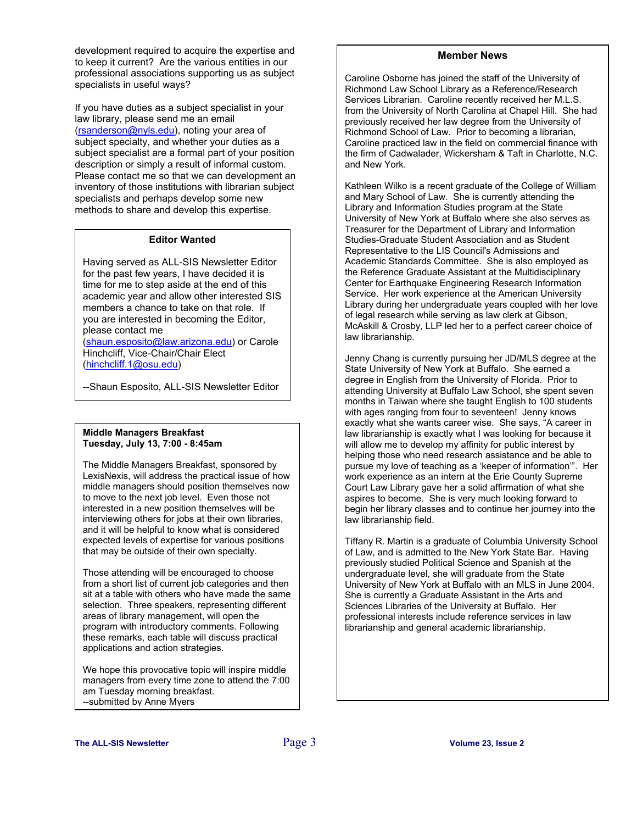development required to acquire the expertise and to keep it current? Are the various entities in our professional associations supporting us as subject specialists in useful ways?

If you have duties as a subject specialist in your law library, please send me an email [\(rsanderson@nyls.edu\)](mailto:rsanderson@nyls.edu), noting your area of subject specialty, and whether your duties as a subject specialist are a formal part of your position description or simply a result of informal custom. Please contact me so that we can development an inventory of those institutions with librarian subject specialists and perhaps develop some new methods to share and develop this expertise.

#### **Editor Wanted**

Having served as ALL-SIS Newsletter Editor for the past few years, I have decided it is time for me to step aside at the end of this academic year and allow other interested SIS members a chance to take on that role. If you are interested in becoming the Editor, please contact me

([shaun.esposito@law.arizona.edu\)](mailto:shaun.esposito@law.arizona.edu) or Carole Hinchcliff, Vice-Chair/Chair Elect ([hinchcliff.1@osu.edu](mailto:hinchcliff.1@osu.edu))

--Shaun Esposito, ALL-SIS Newsletter Editor

#### **Middle Managers Breakfast Tuesday, July 13, 7:00 - 8:45am**

The Middle Managers Breakfast, sponsored by LexisNexis, will address the practical issue of how middle managers should position themselves now to move to the next job level. Even those not interested in a new position themselves will be interviewing others for jobs at their own libraries, and it will be helpful to know what is considered expected levels of expertise for various positions that may be outside of their own specialty.

Those attending will be encouraged to choose from a short list of current job categories and then sit at a table with others who have made the same selection. Three speakers, representing different areas of library management, will open the program with introductory comments. Following these remarks, each table will discuss practical applications and action strategies.

We hope this provocative topic will inspire middle managers from every time zone to attend the 7:00 am Tuesday morning breakfast. --submitted by Anne Myers

#### . **Member News**

Caroline Osborne has joined the staff of the University of Richmond Law School Library as a Reference/Research Services Librarian. Caroline recently received her M.L.S. from the University of North Carolina at Chapel Hill. She had previously received her law degree from the University of Richmond School of Law. Prior to becoming a librarian, Caroline practiced law in the field on commercial finance with the firm of Cadwalader, Wickersham & Taft in Charlotte, N.C. and New York.

Kathleen Wilko is a recent graduate of the College of William and Mary School of Law. She is currently attending the Library and Information Studies program at the State University of New York at Buffalo where she also serves as Treasurer for the Department of Library and Information Studies-Graduate Student Association and as Student Representative to the LIS Council's Admissions and Academic Standards Committee. She is also employed as the Reference Graduate Assistant at the Multidisciplinary Center for Earthquake Engineering Research Information Service. Her work experience at the American University Library during her undergraduate years coupled with her love of legal research while serving as law clerk at Gibson, McAskill & Crosby, LLP led her to a perfect career choice of law librarianship.

Jenny Chang is currently pursuing her JD/MLS degree at the State University of New York at Buffalo. She earned a degree in English from the University of Florida. Prior to attending University at Buffalo Law School, she spent seven months in Taiwan where she taught English to 100 students with ages ranging from four to seventeen! Jenny knows exactly what she wants career wise. She says, "A career in law librarianship is exactly what I was looking for because it will allow me to develop my affinity for public interest by helping those who need research assistance and be able to pursue my love of teaching as a 'keeper of information'". Her work experience as an intern at the Erie County Supreme Court Law Library gave her a solid affirmation of what she aspires to become. She is very much looking forward to begin her library classes and to continue her journey into the law librarianship field.

Tiffany R. Martin is a graduate of Columbia University School of Law, and is admitted to the New York State Bar. Having previously studied Political Science and Spanish at the undergraduate level, she will graduate from the State University of New York at Buffalo with an MLS in June 2004. She is currently a Graduate Assistant in the Arts and Sciences Libraries of the University at Buffalo. Her professional interests include reference services in law librarianship and general academic librarianship.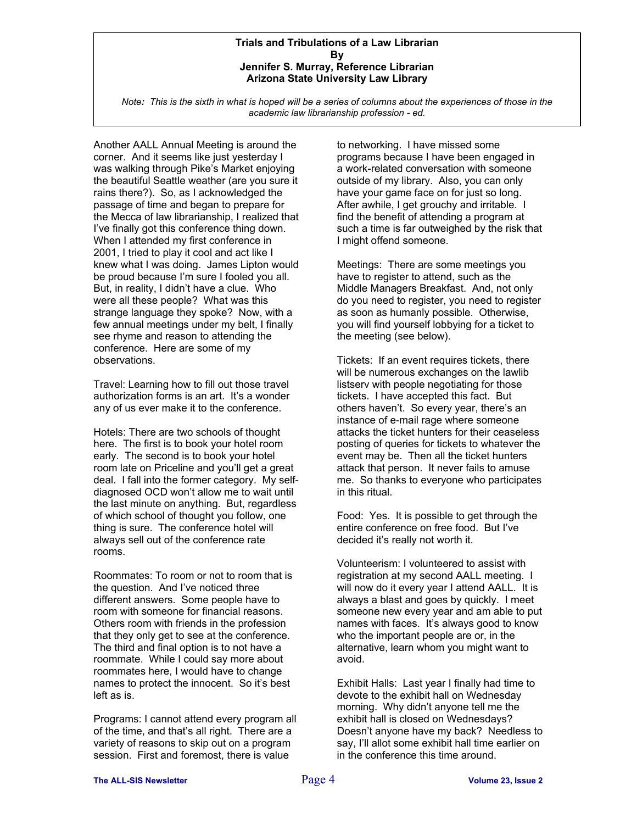#### **Trials and Tribulations of a Law Librarian By Jennifer S. Murray, Reference Librarian Arizona State University Law Library**

*Note: This is the sixth in what is hoped will be a series of columns about the experiences of those in the academic law librarianship profession - ed.*

Another AALL Annual Meeting is around the corner. And it seems like just yesterday I was walking through Pike's Market enjoying the beautiful Seattle weather (are you sure it rains there?). So, as I acknowledged the passage of time and began to prepare for the Mecca of law librarianship, I realized that I've finally got this conference thing down. When I attended my first conference in 2001, I tried to play it cool and act like I knew what I was doing. James Lipton would be proud because I'm sure I fooled you all. But, in reality, I didn't have a clue. Who were all these people? What was this strange language they spoke? Now, with a few annual meetings under my belt, I finally see rhyme and reason to attending the conference. Here are some of my observations.

Travel: Learning how to fill out those travel authorization forms is an art. It's a wonder any of us ever make it to the conference.

Hotels: There are two schools of thought here. The first is to book your hotel room early. The second is to book your hotel room late on Priceline and you'll get a great deal. I fall into the former category. My selfdiagnosed OCD won't allow me to wait until the last minute on anything. But, regardless of which school of thought you follow, one thing is sure. The conference hotel will always sell out of the conference rate rooms.

Roommates: To room or not to room that is the question. And I've noticed three different answers. Some people have to room with someone for financial reasons. Others room with friends in the profession that they only get to see at the conference. The third and final option is to not have a roommate. While I could say more about roommates here, I would have to change names to protect the innocent. So it's best left as is.

Programs: I cannot attend every program all of the time, and that's all right. There are a variety of reasons to skip out on a program session. First and foremost, there is value

to networking. I have missed some programs because I have been engaged in a work-related conversation with someone outside of my library. Also, you can only have your game face on for just so long. After awhile, I get grouchy and irritable. I find the benefit of attending a program at such a time is far outweighed by the risk that I might offend someone.

Meetings: There are some meetings you have to register to attend, such as the Middle Managers Breakfast. And, not only do you need to register, you need to register as soon as humanly possible. Otherwise, you will find yourself lobbying for a ticket to the meeting (see below).

Tickets: If an event requires tickets, there will be numerous exchanges on the lawlib listserv with people negotiating for those tickets. I have accepted this fact. But others haven't. So every year, there's an instance of e-mail rage where someone attacks the ticket hunters for their ceaseless posting of queries for tickets to whatever the event may be. Then all the ticket hunters attack that person. It never fails to amuse me. So thanks to everyone who participates in this ritual.

Food: Yes. It is possible to get through the entire conference on free food. But I've decided it's really not worth it.

Volunteerism: I volunteered to assist with registration at my second AALL meeting. I will now do it every year I attend AALL. It is always a blast and goes by quickly. I meet someone new every year and am able to put names with faces. It's always good to know who the important people are or, in the alternative, learn whom you might want to avoid.

Exhibit Halls: Last year I finally had time to devote to the exhibit hall on Wednesday morning. Why didn't anyone tell me the exhibit hall is closed on Wednesdays? Doesn't anyone have my back? Needless to say, I'll allot some exhibit hall time earlier on in the conference this time around.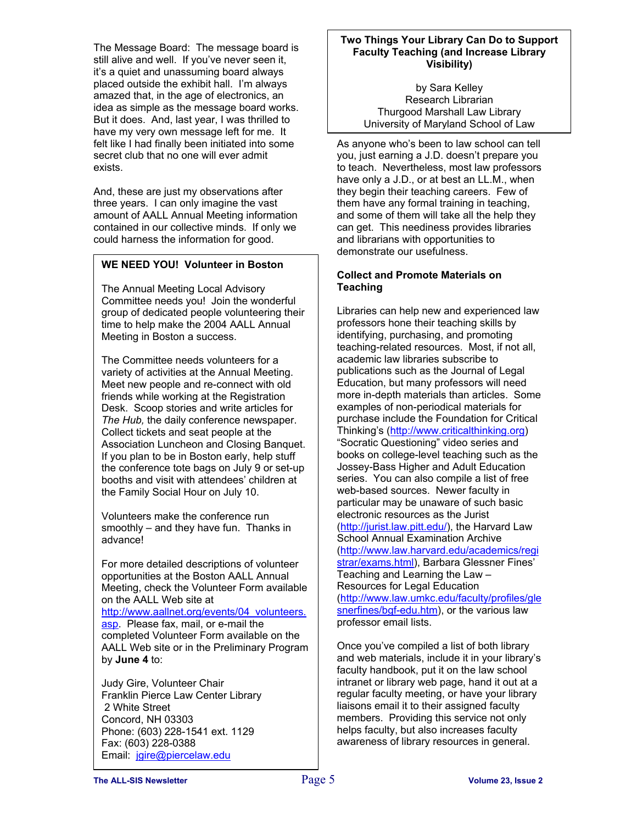The Message Board: The message board is still alive and well. If you've never seen it, it's a quiet and unassuming board always placed outside the exhibit hall. I'm always amazed that, in the age of electronics, an idea as simple as the message board works. But it does. And, last year, I was thrilled to have my very own message left for me. It felt like I had finally been initiated into some secret club that no one will ever admit exists.

And, these are just my observations after three years. I can only imagine the vast amount of AALL Annual Meeting information contained in our collective minds. If only we could harness the information for good.

### **WE NEED YOU! Volunteer in Boston**

The Annual Meeting Local Advisory Committee needs you! Join the wonderful group of dedicated people volunteering their time to help make the 2004 AALL Annual Meeting in Boston a success.

The Committee needs volunteers for a variety of activities at the Annual Meeting. Meet new people and re-connect with old friends while working at the Registration Desk. Scoop stories and write articles for *The Hub,* the daily conference newspaper. Collect tickets and seat people at the Association Luncheon and Closing Banquet. If you plan to be in Boston early, help stuff the conference tote bags on July 9 or set-up booths and visit with attendees' children at the Family Social Hour on July 10.

Volunteers make the conference run smoothly – and they have fun. Thanks in advance!

For more detailed descriptions of volunteer opportunities at the Boston AALL Annual Meeting, check the Volunteer Form available on the AALL Web site at

[http://www.aallnet.org/events/04\\_volunteers.](http://www.aallnet.org/events/) [asp.](http://www.aallnet.org/events/) Please fax, mail, or e-mail the completed Volunteer Form available on the AALL Web site or in the Preliminary Program by **June 4** to:

Judy Gire, Volunteer Chair Franklin Pierce Law Center Library 2 White Street Concord, NH 03303 Phone: (603) 228-1541 ext. 1129 Fax: (603) 228-0388 Email: [jgire@piercelaw.edu](mailto:jgire@piercelaw.edu)

#### **Two Things Your Library Can Do to Support Faculty Teaching (and Increase Library Visibility)**

by Sara Kelley Research Librarian Thurgood Marshall Law Library University of Maryland School of Law

As anyone who's been to law school can tell you, just earning a J.D. doesn't prepare you to teach. Nevertheless, most law professors have only a J.D., or at best an LL.M., when they begin their teaching careers. Few of them have any formal training in teaching, and some of them will take all the help they can get. This neediness provides libraries and librarians with opportunities to demonstrate our usefulness.

#### **Collect and Promote Materials on Teaching**

Libraries can help new and experienced law professors hone their teaching skills by identifying, purchasing, and promoting teaching-related resources. Most, if not all, academic law libraries subscribe to publications such as the Journal of Legal Education, but many professors will need more in-depth materials than articles. Some examples of non-periodical materials for purchase include the Foundation for Critical Thinking's [\(http://www.criticalthinking.org\)](http://www.criticalthinking.org/) "Socratic Questioning" video series and books on college-level teaching such as the Jossey-Bass Higher and Adult Education series. You can also compile a list of free web-based sources. Newer faculty in particular may be unaware of such basic electronic resources as the Jurist [\(http://jurist.law.pitt.edu/\)](http://jurist.law.pitt.edu/), the Harvard Law School Annual Examination Archive [\(http://www.law.harvard.edu/academics/regi](http://www.law.harvard.edu/academics/registrar/exams.html) [strar/exams.html\)](http://www.law.harvard.edu/academics/registrar/exams.html), Barbara Glessner Fines' Teaching and Learning the Law – Resources for Legal Education [\(http://www.law.umkc.edu/faculty/profiles/gle](http://www.law.umkc.edu/faculty/profiles/glesnerfines/bgf-edu.htm) [snerfines/bgf-edu.htm\)](http://www.law.umkc.edu/faculty/profiles/glesnerfines/bgf-edu.htm), or the various law professor email lists.

Once you've compiled a list of both library and web materials, include it in your library's faculty handbook, put it on the law school intranet or library web page, hand it out at a regular faculty meeting, or have your library liaisons email it to their assigned faculty members. Providing this service not only helps faculty, but also increases faculty awareness of library resources in general.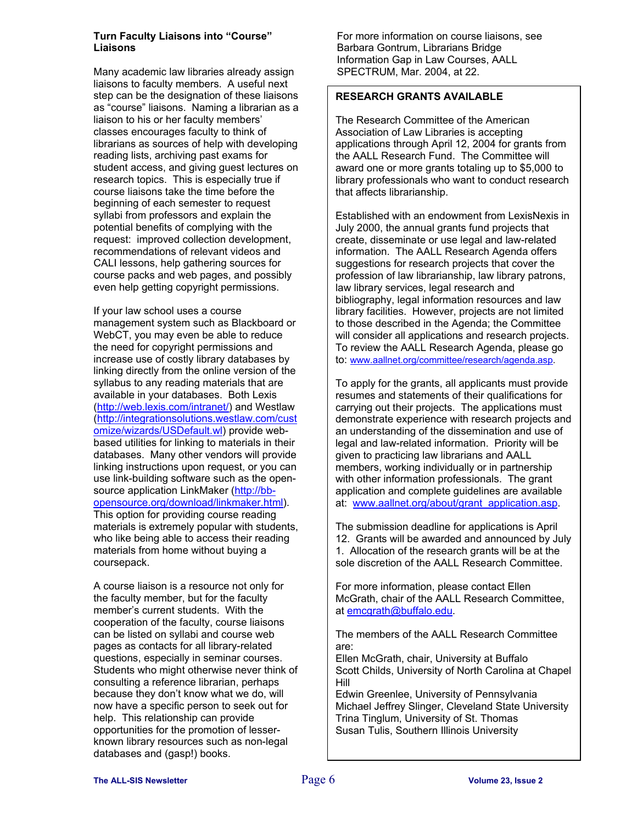#### **Turn Faculty Liaisons into "Course" Liaisons**

Many academic law libraries already assign liaisons to faculty members. A useful next step can be the designation of these liaisons as "course" liaisons. Naming a librarian as a liaison to his or her faculty members' classes encourages faculty to think of librarians as sources of help with developing reading lists, archiving past exams for student access, and giving guest lectures on research topics. This is especially true if course liaisons take the time before the beginning of each semester to request syllabi from professors and explain the potential benefits of complying with the request: improved collection development, recommendations of relevant videos and CALI lessons, help gathering sources for course packs and web pages, and possibly even help getting copyright permissions.

If your law school uses a course management system such as Blackboard or WebCT, you may even be able to reduce the need for copyright permissions and increase use of costly library databases by linking directly from the online version of the syllabus to any reading materials that are available in your databases. Both Lexis [\(http://web.lexis.com/intranet/](http://web.lexis.com/intranet/)) and Westlaw [\(http://integrationsolutions.westlaw.com/cust](http://integrationsolutions.westlaw.com/customize/wizards/USDefault.wl) [omize/wizards/USDefault.wl\)](http://integrationsolutions.westlaw.com/customize/wizards/USDefault.wl) provide webbased utilities for linking to materials in their databases. Many other vendors will provide linking instructions upon request, or you can use link-building software such as the opensource application LinkMaker ([http://bb](http://bb-opensource.org/download/linkmaker.html)[opensource.org/download/linkmaker.html](http://bb-opensource.org/download/linkmaker.html)). This option for providing course reading materials is extremely popular with students, who like being able to access their reading materials from home without buying a coursepack.

A course liaison is a resource not only for the faculty member, but for the faculty member's current students. With the cooperation of the faculty, course liaisons can be listed on syllabi and course web pages as contacts for all library-related questions, especially in seminar courses. Students who might otherwise never think of consulting a reference librarian, perhaps because they don't know what we do, will now have a specific person to seek out for help. This relationship can provide opportunities for the promotion of lesserknown library resources such as non-legal databases and (gasp!) books.

For more information on course liaisons, see Barbara Gontrum, Librarians Bridge Information Gap in Law Courses, AALL SPECTRUM, Mar. 2004, at 22.

#### **RESEARCH GRANTS AVAILABLE**

The Research Committee of the American Association of Law Libraries is accepting applications through April 12, 2004 for grants from the AALL Research Fund. The Committee will award one or more grants totaling up to \$5,000 to library professionals who want to conduct research that affects librarianship.

Established with an endowment from LexisNexis in July 2000, the annual grants fund projects that create, disseminate or use legal and law-related information. The AALL Research Agenda offers suggestions for research projects that cover the profession of law librarianship, law library patrons, law library services, legal research and bibliography, legal information resources and law library facilities. However, projects are not limited to those described in the Agenda; the Committee will consider all applications and research projects. To review the AALL Research Agenda, please go to: [www.aallnet.org/committee/research/agenda.asp.](http://www.aallnet.org/committee/research/agenda.asp)

To apply for the grants, all applicants must provide resumes and statements of their qualifications for carrying out their projects. The applications must demonstrate experience with research projects and an understanding of the dissemination and use of legal and law-related information. Priority will be given to practicing law librarians and AALL members, working individually or in partnership with other information professionals. The grant application and complete guidelines are available at: [www.aallnet.org/about/grant\\_application.asp](http://www.aallnet.org/about/grant_application.asp).

The submission deadline for applications is April 12. Grants will be awarded and announced by July 1. Allocation of the research grants will be at the sole discretion of the AALL Research Committee.

For more information, please contact Ellen McGrath, chair of the AALL Research Committee, at [emcgrath@buffalo.edu](mailto:emcgrath@buffalo.edu).

The members of the AALL Research Committee are:

Ellen McGrath, chair, University at Buffalo Scott Childs, University of North Carolina at Chapel Hill

Edwin Greenlee, University of Pennsylvania Michael Jeffrey Slinger, Cleveland State University Trina Tinglum, University of St. Thomas Susan Tulis, Southern Illinois University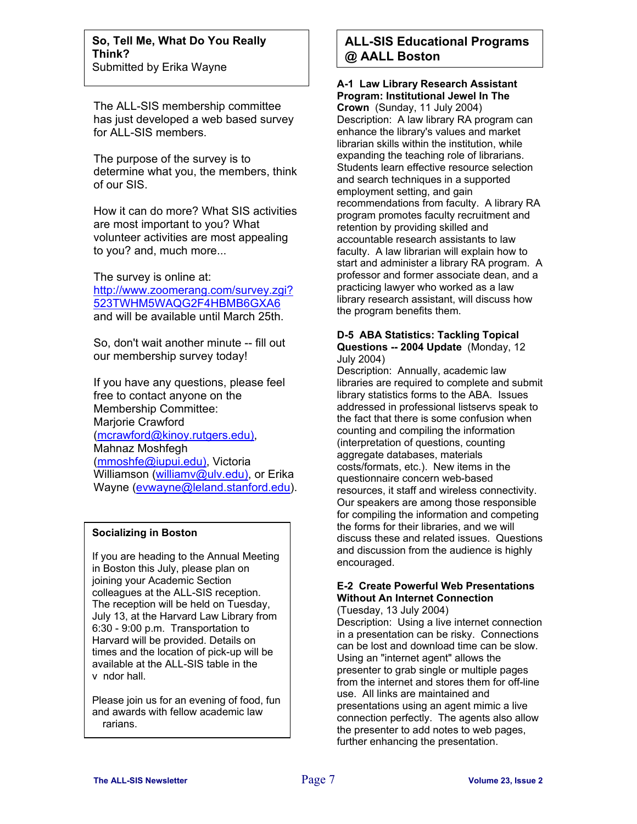The ALL-SIS membership committee has just developed a web based survey for ALL-SIS members.

The purpose of the survey is to determine what you, the members, think of our SIS.

How it can do more? What SIS activities are most important to you? What volunteer activities are most appealing to you? and, much more...

The survey is online at: [http://www.zoomerang.com/survey.zgi?](http://www.zoomerang.com/survey.zgi?523TWHM5WAQG2F4HBMB6GXA6) [523TWHM5WAQG2F4HBMB6GXA6](http://www.zoomerang.com/survey.zgi?523TWHM5WAQG2F4HBMB6GXA6) and will be available until March 25th.

So, don't wait another minute -- fill out our membership survey today!

If you have any questions, please feel free to contact anyone on the Membership Committee: Marjorie Crawford (mcrawford@kinoy.rutgers.edu), Mahnaz Moshfegh (mmoshfe@iupui.edu), Victoria Williamson (williamv@ulv.edu), or Erika Wayne (eywayne@leland.stanford.edu).

#### **Socializing in Boston**

v ndor hall. If you are heading to the Annual Meeting in Boston this July, please plan on joining your Academic Section colleagues at the ALL-SIS reception. The reception will be held on Tuesday, July 13, at the Harvard Law Library from 6:30 - 9:00 p.m. Transportation to Harvard will be provided. Details on times and the location of pick-up will be available at the ALL-SIS table in t he

rarians. Please join us for an evening of food, fun and awards with fellow academic law

# **ALL-SIS Educational Programs @ AALL Boston**

**A-1 Law Library Research Assistant Program: Institutional Jewel In The Crown** (Sunday, 11 July 2004) Description: A law library RA program can enhance the library's values and market librarian skills within the institution, while expanding the teaching role of librarians. Students learn effective resource selection and search techniques in a supported employment setting, and gain recommendations from faculty. A library RA program promotes faculty recruitment and retention by providing skilled and accountable research assistants to law faculty. A law librarian will explain how to start and administer a library RA program. A professor and former associate dean, and a practicing lawyer who worked as a law library research assistant, will discuss how the program benefits them.

#### **D-5 ABA Statistics: Tackling Topical Questions -- 2004 Update** (Monday, 12 July 2004)

Description: Annually, academic law libraries are required to complete and submit library statistics forms to the ABA. Issues addressed in professional listservs speak to the fact that there is some confusion when counting and compiling the information (interpretation of questions, counting aggregate databases, materials costs/formats, etc.). New items in the questionnaire concern web-based resources, it staff and wireless connectivity. Our speakers are among those responsible for compiling the information and competing the forms for their libraries, and we will discuss these and related issues. Questions and discussion from the audience is highly encouraged.

# **E-2 Create Powerful Web Presentations Without An Internet Connection**

(Tuesday, 13 July 2004) Description: Using a live internet connection in a presentation can be risky. Connections can be lost and download time can be slow. Using an "internet agent" allows the presenter to grab single or multiple pages from the internet and stores them for off-line use. All links are maintained and presentations using an agent mimic a live connection perfectly. The agents also allow the presenter to add notes to web pages, further enhancing the presentation.